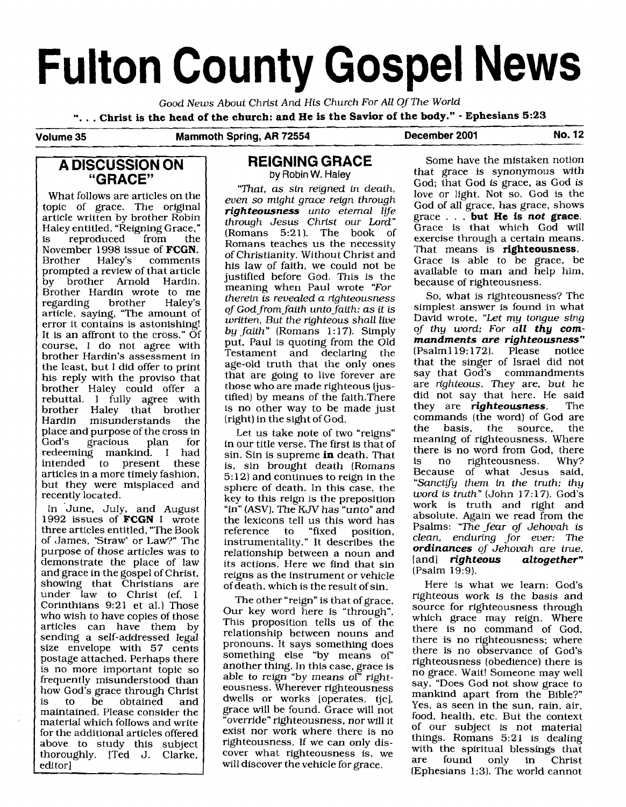# **Fulton County Gospel News**

Good News About Christ And His Church For All Of The World

". . . **Christ is the head of the church: and He is the Savior of the body."** - **Ephesians 5:23** 

### **Volume 35 Mammoth Spring, AR 72554 December 2001 No. 12**

# **A DISCUSSION ON "GRACE"**

What follows are articles on the topic of grace. The original article written by brother Robin Haley entitled, "Reigning Grace,"<br>is reproduced from the reproduced November 1998 issue of **FCGN.**  comments prompted a review of that article by brother Arnold Hardin. Brother Hardin wrote to me<br>regarding brother Haley's regarding article, saying, "The amount of error it contains is astonishing! It is an affront to the cross." Of course, I do not agree with brother Hardin's assessment in the least, but I did offer to print his reply with the proviso that brother Haley could offer a rebuttal. I fully agree with brother Haley that brother<br>Hardin misunderstands the misunderstands place and purpose of the cross in<br>God's gracious plan for gracious redeeming mankind. I had<br>intended to present these to present these articles in a more timely fashion, but they were misplaced and recently located.

In June, July, and August 1992 issues of **FCGN** I wrote three articles entitled, "The Book of James, 'Straw' or Law?" The purpose of those articles was to demonstrate the place of law and grace in the gospel of Christ, showing that Christians are under law to Christ (cf. 1 Corinthians 9:21 et al.) Those who wish to have copies of those articles can have them by sending a self-addressed legal size envelope with 57 cents postage attached. Perhaps there is no more important topic so frequently misunderstood than how God's grace through Christ<br>is to be obtained and obtained maintained. Please consider the material which foIIows and write for the additional articles offered above to study this subject thoroughly. [Ted J. Clarke, editor]

# **REIGNING GRACE**  by Robin **W.** Haley

"That, as sin reigned in death, even so might grace reign through righteousness unto eternal life through Jesus Christ our Lord" (Romans 5:21). The book of Romans teaches us the necessity of Christianity. Without Christ and his law of faith, we could not be justified before God. This is the meaning when Paul wrote "For therein is revealed a righteousness of God from faith unto faith: as it is written, But the righteous shall live by faith" (Romans 1: 17). Simply put, Paul is quoting from the Old Testament and declaring the age-old truth that the only ones that are going to live forever are those who are made righteous (justified) by means of the faith.There is no other way to be made just (right) in the sight of God.

Let us take note of two "reigns" in our title verse. The first is that of sin. Sin is supreme **in** death. That is, sin brought death (Romans  $5: 12$  and continues to reign in the sphere of death. In this case, the key to this reign is the preposition "in" (ASV). The KJV has "unto" and the lexicons tell us this word has<br>reference to "fixed position. reference to "fixed position, instrumentality." It describes the relationship between a noun and its actions. Here we find that sin reigns as the instrument or vehicle of death, which is the result of sin.

The other "reign" is that of grace. Our key word here is "through". This proposition tells us of the relationship between nouns and pronouns. It says something does something else "by means of' another thing. In this case, grace is able to reign "by means of" righteousness. Wherever righteousness dwells or works [operates, tjc], grace will be found. Grace will not "override" righteousness, nor will it exist nor work where there is no righteousness. If we can only discover what righteousness is, we will discover the vehicle for grace.

Some have the mistaken notion that grace is synonymous with God; that God is grace, as God is love or light. Not so. God is the God of all grace, has grace, shows grace . . . **but He is** *not* **grace.**  Grace is that which God will exercise through a certain means. That means is **righteousness.**  Grace is able to be grace, be available to man and help him, because of righteousness.

So, what is righteousness? The simplest answer is found in what David wrote, "Let my tongue sing of thy word; For *all thy commandments are righteousness"*  (Psalm 1 19: 172). Please notice that the singer of Israel did not say that God's commandments are righteous. They are, but he did not say that here. He said<br>they are **righteousness**. The they are *righteousness*. commands (the word) of God are<br>the basis, the source, the source. meaning of righteousness. Where there is no word from God, there<br>is no righteousness. Why? is no righteousness. Because of what Jesus said, "Sanctify them in the truth; thy word is truth" (John 17:17). God's work is truth and right and absolute. Again we read from the Psalms: "The fear of Jehovah is clean, enduring for ever: The *ordinances* of Jehovah are true, [and] *righteous* (Psalm 19:9).

Here is what we learn: God's righteous work is the basis and source for righteousness through which grace may reign. Where there is no command of God, there is no righteousness; where there is no observance of God's righteousness (obedience) there is no grace. Wait! Someone may well say, "Does God not show grace to mankind apart from the Bible?" Yes, as seen in the sun, rain, air, food, health, etc. But the context of our subject is not material things. Romans 5:21 is dealing with the spiritual blessings that<br>are found only in Christ found only in Christ (Ephesians **1:3).** The world cannot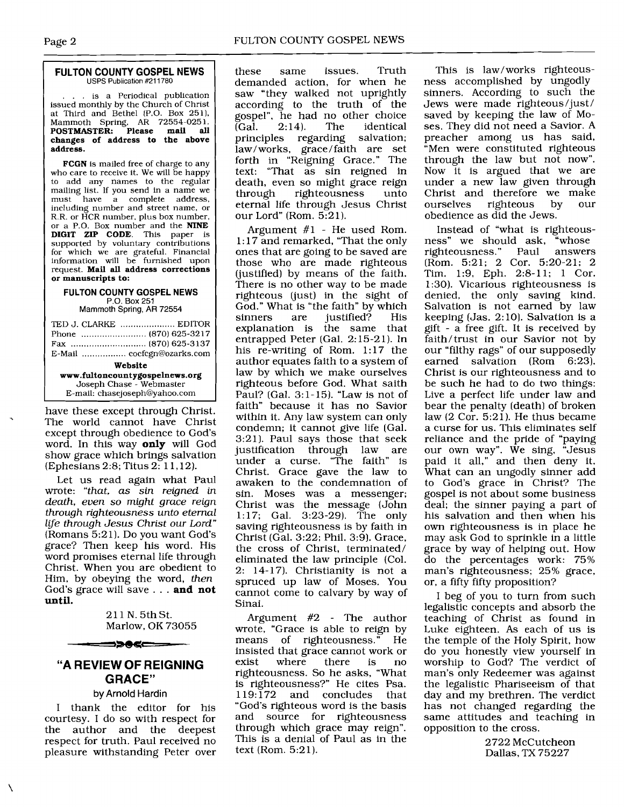#### **FULTON COUNTY GOSPEL NEWS**  USPS Publication #211780

... is a Periodical publication issued monthly by the Church of Christ at Third and Bethel (P.O. Box 251). Mammoth Spring, **AR** 72554-025 1. **POSTMASTER: Please mail all changes of address to the above address.** 

**FCGN** is mailed free of charge to any who care to receive it. We will be happy to add any names to the regular mailing list. If you send in a name we<br>must have a complete address. have a complete address, including number and street name, or R.R. or HCR number, plus box number, or a P.O. Box number and the **NINE DIGIT ZIP CODE.** This paper is supported by voluntary contributions for which we are grateful. Financial information will be furnished upon request. **Mail all address corrections or manuscripts to:** 

## **FULTON COUNTY GOSPEL NEWS P.O.** Box **251**

Mammoth **Spring, AR** 72554

| TED J. CLARKE  EDITOR          |  |
|--------------------------------|--|
|                                |  |
|                                |  |
|                                |  |
| Website                        |  |
| www.fultoncountygospeinews.org |  |
| Joseph Chase - Webmaster       |  |
| E-mail: chasejoseph@yahoo.com  |  |

have these except through Christ.<br>The world cannot have Christ except through obedience to God's word. In this way **only** will God show grace which brings salvation (Ephesians 2:s; Titus 2: 1 1,12).

Let us read again what Paul wrote: "that, **as** sin reigned in death, even so might grace reign through righteousness unto eternal life through Jesus Christ our Lord" (Romans 5:2 1). Do you want God's grace? Then keep his word. His word promises eternal life through Christ. When you are obedient to Him, by obeying the word, then God's grace will save ... **and not until.** 

> 211 N.5thSt. Marlow, OK 73055

# **"A REVIEW OF REIGNING GRACE"**

═⋺⋗⋪⋖⋿⋍

# **by Arnold Hardin**

I thank the editor for his courtesy. I do so with respect for the author and the deepest respect for truth. Paul received no pleasure withstanding Peter over

these same issues. Truth demanded action, for when he saw "they walked not uprightly according to the truth of the gospel", he had no other choice<br>(Gal. 2:14). The identical  $\overline{G}$ al. 2:14). The identical principles regarding salvation; regarding salvation; law/works, grace/faith are set forth in "Reigning Grace." The text: "That as sin reigned in death, even so might grace reign<br>through righteousness unto righteousness eternal life through Jesus Christ our Lord" (Rom. 5:21).

Argument #1 - He used Rom. 1: 17 and remarked, "That the only ones that are going to be saved are those who are made righteous (justified) by means of the faith. There is no other way to be made righteous (just) in the sight of God." What is "the faith" by which<br>sinners are justified? His justified? explanation is the same that entrapped Peter (Gal. 2: 15-2 1). In his re-writing of Rom. 1:17 the author equates faith to a system of law by which we make ourselves righteous before God. What saith Paul? (Gal. 3:1-15). "Law is not of faith" because it has no Savior within it. Any law system can only condemn; it cannot give life (Gal. 3:21]. Paul says those that seek justification through law are under a curse. "The faith" is Christ. Grace gave the law to awaken to the condemnation of sin. Moses was a messenger; Christ was the message (John 117; Gal. 3:23-29). The only saving righteousness is by faith in Christ (Gal. 3:22; Phil. 3:9). Grace, the cross of Christ, terminated/ eliminated the law principle (Col. 2: 14-17). Christianity is not a spruced up law of Moses. You cannot come to calvary by way of Sinai.

Argument #2 - The author wrote, "Grace is able to reign by<br>means of righteousness." He means of righteousness.<sup>"</sup> insisted that grace cannot work or exist where there is no righteousness. So he asks, "What is righteousness?" He cites Psa.<br>119:172 and concludes that and concludes that "God's righteous word is the basis and source for righteousness through which grace may reign". This is a denial of Paul as in the text (Rom. 5:21).

This is law/works righteousness accomplished by ungodly sinners. According to such the Jews were made righteous/just / saved by keeping the law of Moses. They did not need a Savior. A preacher among us has said, "Men were constituted righteous through the law but not now". Now it is argued that we are under a new law given through Christ and therefore we make<br>ourselves righteous by our righteous obedience as did the Jews.

Instead of "what is righteousness" we should ask, "whose<br>righteousness." Paul answers righteousness." (Rom. 5:21; 2 Cor. 5:20-21; 2 Tim. 1:9, Eph. 2:8-11; 1 Cor. 1:30). Vicarious righteousness is denied, the only saving kind. Salvation is not earned by law keeping  $(Jas. 2:10)$ . Salvation is a gift - a free gift. It is received by faith/trust in our Savior not by our "filthy rags" of our supposedly earned salvation (Rom 6:23). Christ is our righteousness and to be such he had to do two things: Live a perfect life under law and bear the penalty (death) of broken law (2 Cor. 5:21). He thus became a curse for us. This eliminates self reliance and the pride of "paying our own way". We sing, "Jesus paid it all," and then deny it. What can an ungodly sinner add to God's grace in Christ? The gospel is not about some business deal; the sinner paying a part of his salvation and then when his own righteousness is in place he may ask God to sprinkle in a little grace by way of helping out. How do the percentages work: 75% man's righteousness; 25% grace, or, a fifty fifty proposition?

I beg of you to turn from such legalistic concepts and absorb the teaching of Christ as found in Luke eighteen. As each of us is the temple of the Holy Spirit, how do you honestly view yourself in worship to God? The verdict of man's only Redeemer was against the legalistic Phariseeism of that day and my brethren. The verdict has not changed regarding the same attitudes and teaching in opposition to the cross.

> 2722 McCutcheon Dallas, TX 75227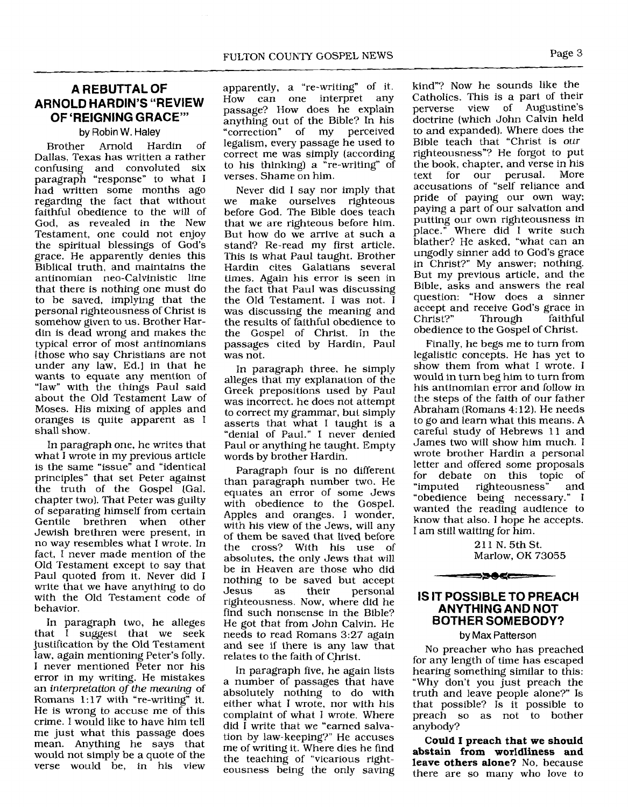# **A REBUTTAL OF ARNOLD HARDIN'S "REVIEW OF 'REIGNING GRACE"'**

#### by Robin **W. Haley**

Brother Arnold Hardin of Dallas, Texas has written a rather confusing and convoluted six paragraph "response" to what I had written some months ago regarding the fact that without faithful obedience to the will of God, as revealed in the New Testament, one could not enjoy the spiritual blessings of God's grace. He apparently denies this Biblical truth, and maintains the antinomian neo-Calvinistic line that there is nothing one must do to be saved, implying that the personal righteousness of Christ is somehow given to us. Brother Hardin is dead wrong and makes the typical error of most antinomians (those who say Christians are not under any law, Ed.] in that he wants to equate any mention of "law" with the things Paul said about the Old Testament Law of Moses. His mixing of apples and oranges is quite apparent as I shall show.

In paragraph one, he writes that what I wrote in my previous article is the same "issue" and "identical principles" that set Peter against the truth of the Gospel (Gal. chapter two). That Peter was guilty of separating himself from certain Gentile brethren when other Jewish brethren were present, in no way resembles what I wrote. In fact, I never made mention of the Old Testament except to say that Paul quoted from it. Never did I write that we have anything to do with the Old Testament code of behavior.

In paragraph two, he alleges that I suggest that we seek justification by the Old Testament law, again mentioning Peter's folly. I never mentioned Peter nor his error in my writing. He mistakes an interpretation of the meaning of Romans  $1:17$  with "re-writing" it. He is wrong to accuse me of this crime. I would like to have him tell me just what this passage does mean. Anything he says that would not simply be a quote of the verse would be, in his view apparently, a "re-writing" of it. How can one interpret any passage? How does he explain anything out of the Bible? In his<br>"correction" of my perceived of my perceived legalism, every passage he used to correct me was simply (according to his thinking) a "re-writing" of verses. Shame on him.

Never did I say nor imply that we make ourselves righteous before God. The Bible does teach that we are righteous before him. But how do we arrive at such a stand? Re-read my first article. This is what Paul taught. Brother Hardin cites Galatians several times. Again his error is seen in the fact that Paul was discussing the Old Testament. I was not. I was discussing the meaning and the results of faithful obedience to the Gospel of Christ. In the passages cited by Hardin, Paul was not.

In paragraph three. he simply alleges that my explanation of the Greek prepositions used by Paul was incorrect. he does not attempt to correct my grammar, but simply asserts that what I taught is a "denial of Paul." I never denied Paul or anything he taught. Empty words by brother Hardin.

Paragraph four is no different than paragraph number two. He equates an error of some Jews with obedience to the Gospel. Apples and oranges. I wonder, with his view of the Jews, will any of them be saved that lived before the cross? With his use of absolutes, the only Jews that will be in Heaven are those who did nothing to be saved but accept Jesus as their personal righteousness. Now, where did he find such nonsense in the Bible? He got that from John Calvin. He needs to read Romans 3:27 again and see if there is any law that relates to the faith of Christ.

In paragraph five, he again lists a number of passages that have absolutely nothing to do with either what I wrote, nor with his complaint of what I wrote. Where did I write that we "earned salvation by law-keeping?" He accuses me of writing it. Where dies he find the teaching of "vicarious righteousness being the only saving kind"? Now he sounds like the Catholics. This is a part of their perverse view of Augustine's doctrine (which John Calvin held to and expanded). Where does the Bible teach that "Christ is our righteousness"? He forgot to put the book, chapter, and verse in his<br>text for our perusal. More our perusal. accusations of "self reliance and pride of paying our own way; paying a part of our salvation and putting our own righteousness in place." Where did I write such blather? He asked, "what can an ungodly sinner add to God's grace in Christ?" My answer; nothing. But my previous article, and the Bible, asks and answers the real question: "How does a sinner accept and receive God's grace in<br>Christ?" Through faithful Through obedience to the Gospel of Christ.

Finally, he begs me to turn from legalistic concepts. He has yet to show them from what I wrote. I would in turn beg him to turn from his antinomian error and follow in the steps of the faith of our father Abraham (Romans 4: 12). He needs to go and learn what this means. A careful study of Hebrews 11 and James two will show him much. I wrote brother Hardin a personal letter and offered some proposals for debate on this topic of "imputed righteousness" and "obedience being necessary." I wanted the reading audience to know that also. I hope he accepts. I am still waiting for him.

> 21 1 N. 5th St. Marlow. OK 73055

# **IS IT POSSIBLE TO PREACH ANYTHING AND NOT BOTHER SOMEBODY?**

━━>>●≤━━

## by Max Patterson

No preacher who has preached for any length of time has escaped hearing something similar to this: "Why don't you just preach the truth and leave people alone?" Is that possible? Is it possible to preach so as not to bother anybody?

**Could I preach that we should abstain from worldliness and leave others alone?** No, because there are so many who love to